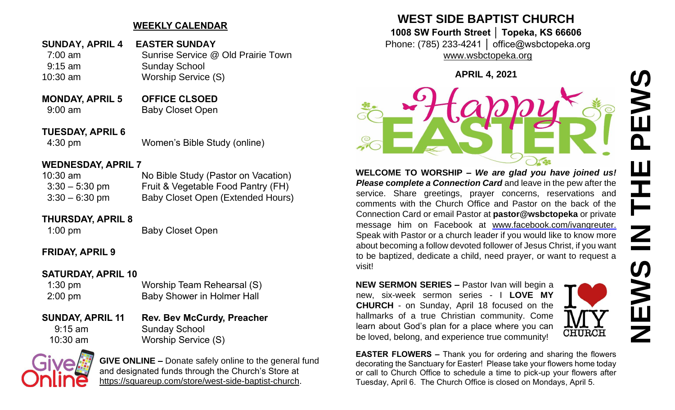## **WEEKLY CALENDAR**

- **SUNDAY, APRIL 4 EASTER SUNDAY** 7:00 am Sunrise Service @ Old Prairie Town 9:15 am Sunday School 10:30 am Worship Service (S)
- **MONDAY, APRIL 5 OFFICE CLSOED** 9:00 am Baby Closet Open
- **TUESDAY, APRIL 6**

4:30 pm Women's Bible Study (online)

### **WEDNESDAY, APRIL 7**

| 10:30 am         | No Bible Study (Pastor on Vacation) |
|------------------|-------------------------------------|
| $3:30 - 5:30$ pm | Fruit & Vegetable Food Pantry (FH)  |
| $3:30 - 6:30$ pm | Baby Closet Open (Extended Hours)   |

### **THURSDAY, APRIL 8**

1:00 pm Baby Closet Open

### **FRIDAY, APRIL 9**

### **SATURDAY, APRIL 10**

| $1:30$ pm         | Worship Team Rehearsal (S)        |
|-------------------|-----------------------------------|
| $2:00 \text{ pm}$ | <b>Baby Shower in Holmer Hall</b> |

**SUNDAY, APRIL 11 Rev. Bev McCurdy, Preacher** 9:15 am Sunday School 10:30 am Worship Service (S)



**GIVE ONLINE –** Donate safely online to the general fund and designated funds through the Church's Store at [https://squareup.com/store/west-side-baptist-church.](https://squareup.com/store/west-side-baptist-church)

# **WEST SIDE BAPTIST CHURCH**

**1008 SW Fourth Street │ Topeka, KS 66606**

Phone: (785) 233-4241 │ office@wsbctopeka.org [www.wsbctopeka.org](http://www.wsbctopeka.org/)

**APRIL 4, 2021**



**WELCOME TO WORSHIP –** *We are glad you have joined us! Please complete a Connection Card* and leave in the pew after the service. Share greetings, prayer concerns, reservations and comments with the Church Office and Pastor on the back of the Connection Card or email Pastor at **pastor@wsbctopeka** or private message him on Facebook at [www.facebook.com/ivangreuter.](https://www.facebook.com/ivangreuter.) Speak with Pastor or a church leader if you would like to know more about becoming a follow devoted follower of Jesus Christ, if you want to be baptized, dedicate a child, need prayer, or want to request a visit!

**NEW SERMON SERIES –** Pastor Ivan will begin a new, six-week sermon series - I **LOVE MY CHURCH** - on Sunday, April 18 focused on the hallmarks of a true Christian community. Come learn about God's plan for a place where you can be loved, belong, and experience true community!



**EASTER FLOWERS –** Thank you for ordering and sharing the flowers decorating the Sanctuary for Easter! Please take your flowers home today or call to Church Office to schedule a time to pick-up your flowers after Tuesday, April 6. The Church Office is closed on Mondays, April 5.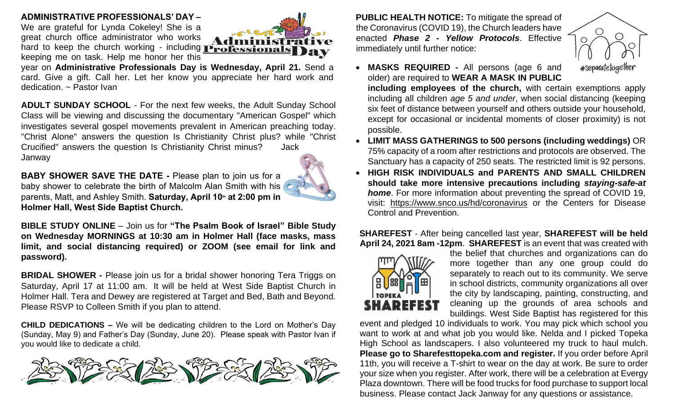#### **ADMINISTRATIVE PROFESSIONALS' DAY –**

We are grateful for Lynda Cokeley! She is a great church office administrator who works hard to keep the church working - including **Professionals** keeping me on task. Help me honor her this



year on **Administrative Professionals Day is Wednesday, April 21.** Send a card. Give a gift. Call her. Let her know you appreciate her hard work and dedication. ~ Pastor Ivan

**ADULT SUNDAY SCHOOL** - For the next few weeks, the Adult Sunday School Class will be viewing and discussing the documentary "American Gospel" which investigates several gospel movements prevalent in American preaching today. "Christ Alone" answers the question Is Christianity Christ plus? while "Christ Crucified" answers the question Is Christianity Christ minus? Jack Janway

**BABY SHOWER SAVE THE DATE -** Please plan to join us for a baby shower to celebrate the birth of Malcolm Alan Smith with his parents, Matt, and Ashley Smith. **Saturday, April 10th at 2:00 pm in Holmer Hall, West Side Baptist Church.** 



**BIBLE STUDY ONLINE** – Join us for **"The Psalm Book of Israel" Bible Study on Wednesday MORNINGS at 10:30 am in Holmer Hall (face masks, mass limit, and social distancing required) or ZOOM (see email for link and password).** 

**BRIDAL SHOWER -** Please join us for a bridal shower honoring Tera Triggs on Saturday, April 17 at 11:00 am. It will be held at West Side Baptist Church in Holmer Hall. Tera and Dewey are registered at Target and Bed, Bath and Beyond. Please RSVP to Colleen Smith if you plan to attend.

**CHILD DEDICATIONS –** We will be dedicating children to the Lord on Mother's Day (Sunday, May 9) and Father's Day (Sunday, June 20). Please speak with Pastor Ivan if you would like to dedicate a child.



**PUBLIC HEALTH NOTICE:** To mitigate the spread of the Coronavirus (COVID 19), the Church leaders have enacted *Phase 2 - Yellow Protocols*. Effective immediately until further notice:



• **MASKS REQUIRED -** All persons (age 6 and older) are required to **WEAR A MASK IN PUBLIC including employees of the church,** with certain exemptions apply including all children *age 5 and under*, when social distancing (keeping

six feet of distance between yourself and others outside your household, except for occasional or incidental moments of closer proximity) is not possible.

- **LIMIT MASS GATHERINGS to 500 persons (including weddings)** OR 75% capacity of a room after restrictions and protocols are observed. The Sanctuary has a capacity of 250 seats. The restricted limit is 92 persons.
- **HIGH RISK INDIVIDUALS and PARENTS AND SMALL CHILDREN should take more intensive precautions including** *staying-safe-at home*. For more information about preventing the spread of COVID 19, visit: <https://www.snco.us/hd/coronavirus> or the Centers for Disease Control and Prevention.

### **SHAREFEST** - After being cancelled last year, **SHAREFEST will be held April 24, 2021 8am -12pm**. **SHAREFEST** is an event that was created with



the belief that churches and organizations can do more together than any one group could do separately to reach out to its community. We serve in school districts, community organizations all over the city by landscaping, painting, constructing, and cleaning up the grounds of area schools and buildings. West Side Baptist has registered for this

event and pledged 10 individuals to work. You may pick which school you want to work at and what job you would like. Nelda and I picked Topeka High School as landscapers. I also volunteered my truck to haul mulch. **Please go to Sharefesttopeka.com and register.** If you order before April 11th, you will receive a T-shirt to wear on the day at work. Be sure to order your size when you register. After work, there will be a celebration at Evergy Plaza downtown. There will be food trucks for food purchase to support local business. Please contact Jack Janway for any questions or assistance.